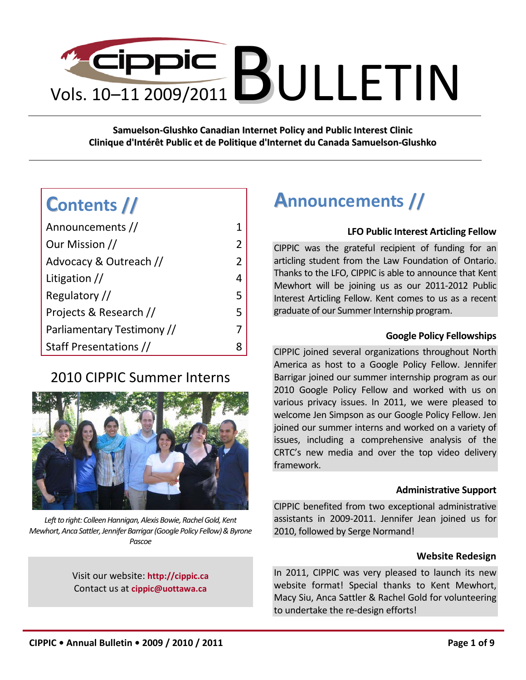

**Samuelson-Glushko Canadian Internet Policy and Public Interest Clinic Clinique d'Intérêt Public et de Politique d'Internet du Canada Samuelson-Glushko**

# **Contents //**

| Announcements //           |                |
|----------------------------|----------------|
| Our Mission //             | $\overline{2}$ |
| Advocacy & Outreach //     | 2              |
| Litigation $//$            | 4              |
| Regulatory //              | 5              |
| Projects & Research //     | 5              |
| Parliamentary Testimony // | 7              |
| Staff Presentations //     |                |

# 2010 CIPPIC Summer Interns



Left to right: Colleen Hannigan, Alexis Bowie, Rachel Gold, Kent *Mewhort, Anca Sattler, Jennifer Barrigar (Google Policy Fellow) & Byrone Pascoe*

Visit our website: **[http://cippic.ca](http://cippic.ca/)** Contact us at **[cippic@uottawa.ca](mailto:cippic@uottawa.ca)**

# <span id="page-0-0"></span>**Announcements //**

#### **LFO Public Interest Articling Fellow**

CIPPIC was the grateful recipient of funding for an articling student from the Law Foundation of Ontario. Thanks to the LFO, CIPPIC is able to announce that Kent Mewhort will be joining us as our 2011-2012 Public Interest Articling Fellow. Kent comes to us as a recent graduate of our Summer Internship program.

#### **Google Policy Fellowships**

CIPPIC joined several organizations throughout North America as host to a Google Policy Fellow. Jennifer Barrigar joined our summer internship program as our 2010 Google Policy Fellow and worked with us on various privacy issues. In 2011, we were pleased to welcome Jen Simpson as our Google Policy Fellow. Jen joined our summer interns and worked on a variety of issues, including a comprehensive analysis of the CRTC's new media and over the top video delivery framework.

#### **Administrative Support**

CIPPIC benefited from two exceptional administrative assistants in 2009-2011. Jennifer Jean joined us for 2010, followed by Serge Normand!

#### **Website Redesign**

In 2011, CIPPIC was very pleased to launch its new website format! Special thanks to Kent Mewhort, Macy Siu, Anca Sattler & Rachel Gold for volunteering to undertake the re-design efforts!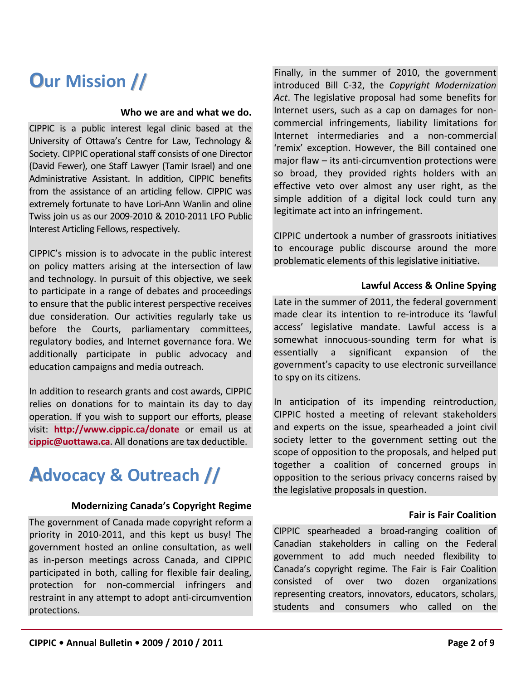# <span id="page-1-0"></span>**Our Mission //**

#### **Who we are and what we do.**

CIPPIC is a public interest legal clinic based at the University of Ottawa's Centre for Law, Technology & Society. CIPPIC operational staff consists of one Director (David Fewer), one Staff Lawyer (Tamir Israel) and one Administrative Assistant. In addition, CIPPIC benefits from the assistance of an articling fellow. CIPPIC was extremely fortunate to have Lori-Ann Wanlin and oline Twiss join us as our 2009-2010 & 2010-2011 LFO Public Interest Articling Fellows, respectively.

CIPPIC's mission is to advocate in the public interest on policy matters arising at the intersection of law and technology. In pursuit of this objective, we seek to participate in a range of debates and proceedings to ensure that the public interest perspective receives due consideration. Our activities regularly take us before the Courts, parliamentary committees, regulatory bodies, and Internet governance fora. We additionally participate in public advocacy and education campaigns and media outreach.

In addition to research grants and cost awards, CIPPIC relies on donations for to maintain its day to day operation. If you wish to support our efforts, please visit: **<http://www.cippic.ca/donate>** or email us at **[cippic@uottawa.ca](mailto:cippic@uottawa.ca)**. All donations are tax deductible.

# <span id="page-1-1"></span>**Advocacy & Outreach //**

#### **Modernizing Canada's Copyright Regime**

The government of Canada made copyright reform a priority in 2010-2011, and this kept us busy! The government hosted an online consultation, as well as in-person meetings across Canada, and CIPPIC participated in both, calling for flexible fair dealing, protection for non-commercial infringers and restraint in any attempt to adopt anti-circumvention protections.

Finally, in the summer of 2010, the government introduced Bill C-32, the *Copyright Modernization Act*. The legislative proposal had some benefits for Internet users, such as a cap on damages for noncommercial infringements, liability limitations for Internet intermediaries and a non-commercial 'remix' exception. However, the Bill contained one major flaw – its anti-circumvention protections were so broad, they provided rights holders with an effective veto over almost any user right, as the simple addition of a digital lock could turn any legitimate act into an infringement.

CIPPIC undertook a number of grassroots initiatives to encourage public discourse around the more problematic elements of this legislative initiative.

#### **Lawful Access & Online Spying**

Late in the summer of 2011, the federal government made clear its intention to re-introduce its 'lawful access' legislative mandate. Lawful access is a somewhat innocuous-sounding term for what is essentially a significant expansion of the government's capacity to use electronic surveillance to spy on its citizens.

In anticipation of its impending reintroduction, CIPPIC hosted a meeting of relevant stakeholders and experts on the issue, spearheaded a joint civil society letter to the government setting out the scope of opposition to the proposals, and helped put together a coalition of concerned groups in opposition to the serious privacy concerns raised by the legislative proposals in question.

#### **Fair is Fair Coalition**

CIPPIC spearheaded a broad-ranging coalition of Canadian stakeholders in calling on the Federal government to add much needed flexibility to Canada's copyright regime. The Fair is Fair Coalition consisted of over two dozen organizations representing creators, innovators, educators, scholars, students and consumers who called on the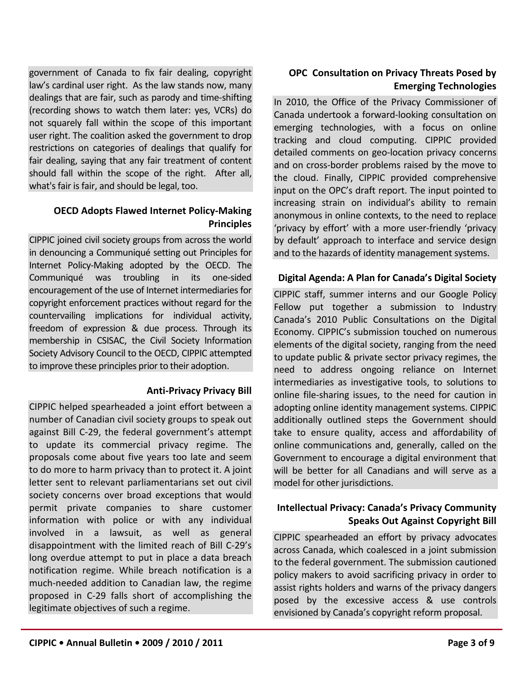government of Canada to fix fair dealing, copyright law's cardinal user right. As the law stands now, many dealings that are fair, such as parody and time-shifting (recording shows to watch them later: yes, VCRs) do not squarely fall within the scope of this important user right. The coalition asked the government to drop restrictions on categories of dealings that qualify for fair dealing, saying that any fair treatment of content should fall within the scope of the right. After all, what's fair is fair, and should be legal, too.

# **OECD Adopts Flawed Internet Policy-Making Principles**

CIPPIC joined civil society groups from across the world in denouncing a Communiqué setting out Principles for Internet Policy-Making adopted by the OECD. The Communiqué was troubling in its one-sided encouragement of the use of Internet intermediaries for copyright enforcement practices without regard for the countervailing implications for individual activity, freedom of expression & due process. Through its membership in CSISAC, the Civil Society Information Society Advisory Council to the OECD, CIPPIC attempted to improve these principles prior to their adoption.

#### **Anti-Privacy Privacy Bill**

CIPPIC helped spearheaded a joint effort between a number of Canadian civil society groups to speak out against Bill C-29, the federal government's attempt to update its commercial privacy regime. The proposals come about five years too late and seem to do more to harm privacy than to protect it. A joint letter sent to relevant parliamentarians set out civil society concerns over broad exceptions that would permit private companies to share customer information with police or with any individual involved in a lawsuit, as well as general disappointment with the limited reach of Bill C-29's long overdue attempt to put in place a data breach notification regime. While breach notification is a much-needed addition to Canadian law, the regime proposed in C-29 falls short of accomplishing the legitimate objectives of such a regime.

### **OPC Consultation on Privacy Threats Posed by Emerging Technologies**

In 2010, the Office of the Privacy Commissioner of Canada undertook a forward-looking consultation on emerging technologies, with a focus on online tracking and cloud computing. CIPPIC provided detailed comments on geo-location privacy concerns and on cross-border problems raised by the move to the cloud. Finally, CIPPIC provided comprehensive input on the OPC's draft report. The input pointed to increasing strain on individual's ability to remain anonymous in online contexts, to the need to replace 'privacy by effort' with a more user-friendly 'privacy by default' approach to interface and service design and to the hazards of identity management systems.

#### **Digital Agenda: A Plan for Canada's Digital Society**

CIPPIC staff, summer interns and our Google Policy Fellow put together a submission to Industry Canada's 2010 Public Consultations on the Digital Economy. CIPPIC's submission touched on numerous elements of the digital society, ranging from the need to update public & private sector privacy regimes, the need to address ongoing reliance on Internet intermediaries as investigative tools, to solutions to online file-sharing issues, to the need for caution in adopting online identity management systems. CIPPIC additionally outlined steps the Government should take to ensure quality, access and affordability of online communications and, generally, called on the Government to encourage a digital environment that will be better for all Canadians and will serve as a model for other jurisdictions.

### **Intellectual Privacy: Canada's Privacy Community Speaks Out Against Copyright Bill**

CIPPIC spearheaded an effort by privacy advocates across Canada, which coalesced in a joint submission to the federal government. The submission cautioned policy makers to avoid sacrificing privacy in order to assist rights holders and warns of the privacy dangers posed by the excessive access & use controls envisioned by Canada's copyright reform proposal.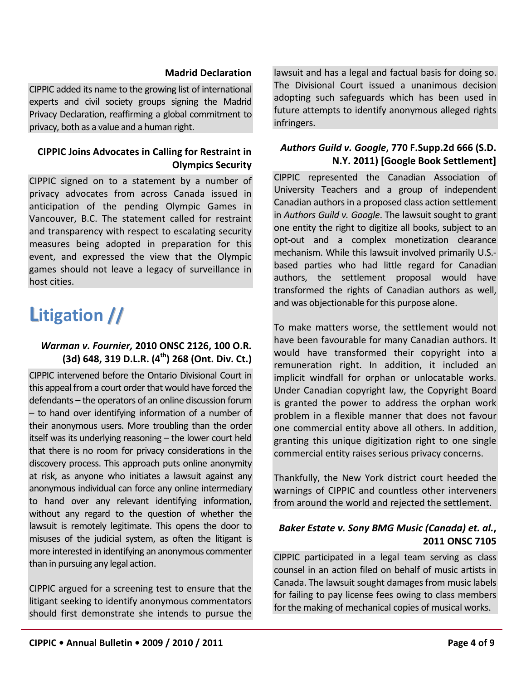#### **Madrid Declaration**

CIPPIC added its name to the growing list of international experts and civil society groups signing the Madrid Privacy Declaration, reaffirming a global commitment to privacy, both as a value and a human right.

# **CIPPIC Joins Advocates in Calling for Restraint in Olympics Security**

CIPPIC signed on to a statement by a number of privacy advocates from across Canada issued in anticipation of the pending Olympic Games in Vancouver, B.C. The statement called for restraint and transparency with respect to escalating security measures being adopted in preparation for this event, and expressed the view that the Olympic games should not leave a legacy of surveillance in host cities.

# <span id="page-3-0"></span>**Litigation //**

### *Warman v. Fournier,* **2010 ONSC 2126, 100 O.R. (3d) 648, 319 D.L.R. (4th) 268 (Ont. Div. Ct.)**

CIPPIC intervened before the Ontario Divisional Court in this appeal from a court order that would have forced the defendants – the operators of an online discussion forum – to hand over identifying information of a number of their anonymous users. More troubling than the order itself was its underlying reasoning – the lower court held that there is no room for privacy considerations in the discovery process. This approach puts online anonymity at risk, as anyone who initiates a lawsuit against any anonymous individual can force any online intermediary to hand over any relevant identifying information, without any regard to the question of whether the lawsuit is remotely legitimate. This opens the door to misuses of the judicial system, as often the litigant is more interested in identifying an anonymous commenter than in pursuing any legal action.

CIPPIC argued for a screening test to ensure that the litigant seeking to identify anonymous commentators should first demonstrate she intends to pursue the lawsuit and has a legal and factual basis for doing so. The Divisional Court issued a unanimous decision adopting such safeguards which has been used in future attempts to identify anonymous alleged rights infringers.

### *Authors Guild v. Google***, 770 F.Supp.2d 666 (S.D. N.Y. 2011) [Google Book Settlement]**

CIPPIC represented the Canadian Association of University Teachers and a group of independent Canadian authors in a proposed class action settlement in *Authors Guild v. Google*. The lawsuit sought to grant one entity the right to digitize all books, subject to an opt-out and a complex monetization clearance mechanism. While this lawsuit involved primarily U.S. based parties who had little regard for Canadian authors, the settlement proposal would have transformed the rights of Canadian authors as well, and was objectionable for this purpose alone.

To make matters worse, the settlement would not have been favourable for many Canadian authors. It would have transformed their copyright into a remuneration right. In addition, it included an implicit windfall for orphan or unlocatable works. Under Canadian copyright law, the Copyright Board is granted the power to address the orphan work problem in a flexible manner that does not favour one commercial entity above all others. In addition, granting this unique digitization right to one single commercial entity raises serious privacy concerns.

Thankfully, the New York district court heeded the warnings of CIPPIC and countless other interveners from around the world and rejected the settlement.

# *Baker Estate v. Sony BMG Music (Canada) et. al.***, 2011 ONSC 7105**

CIPPIC participated in a legal team serving as class counsel in an action filed on behalf of music artists in Canada. The lawsuit sought damages from music labels for failing to pay license fees owing to class members for the making of mechanical copies of musical works.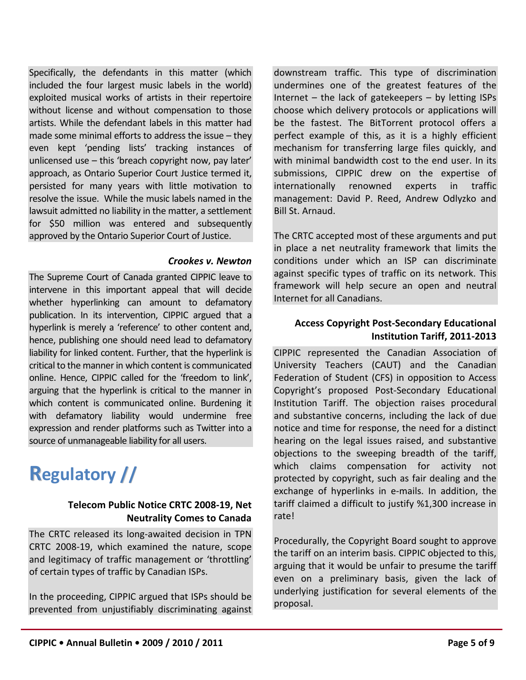Specifically, the defendants in this matter (which included the four largest music labels in the world) exploited musical works of artists in their repertoire without license and without compensation to those artists. While the defendant labels in this matter had made some minimal efforts to address the issue – they even kept 'pending lists' tracking instances of unlicensed use – this 'breach copyright now, pay later' approach, as Ontario Superior Court Justice termed it, persisted for many years with little motivation to resolve the issue. While the music labels named in the lawsuit admitted no liability in the matter, a settlement for \$50 million was entered and subsequently approved by the Ontario Superior Court of Justice.

#### *Crookes v. Newton*

The Supreme Court of Canada granted CIPPIC leave to intervene in this important appeal that will decide whether hyperlinking can amount to defamatory publication. In its intervention, CIPPIC argued that a hyperlink is merely a 'reference' to other content and, hence, publishing one should need lead to defamatory liability for linked content. Further, that the hyperlink is critical to the manner in which content is communicated online. Hence, CIPPIC called for the 'freedom to link', arguing that the hyperlink is critical to the manner in which content is communicated online. Burdening it with defamatory liability would undermine free expression and render platforms such as Twitter into a source of unmanageable liability for all users.

# <span id="page-4-0"></span>**Regulatory //**

### **Telecom Public Notice CRTC 2008-19, Net Neutrality Comes to Canada**

The CRTC released its long-awaited decision in TPN CRTC 2008-19, which examined the nature, scope and legitimacy of traffic management or 'throttling' of certain types of traffic by Canadian ISPs.

In the proceeding, CIPPIC argued that ISPs should be prevented from unjustifiably discriminating against downstream traffic. This type of discrimination undermines one of the greatest features of the Internet  $-$  the lack of gatekeepers  $-$  by letting ISPs choose which delivery protocols or applications will be the fastest. The BitTorrent protocol offers a perfect example of this, as it is a highly efficient mechanism for transferring large files quickly, and with minimal bandwidth cost to the end user. In its submissions, CIPPIC drew on the expertise of internationally renowned experts in traffic management: David P. Reed, Andrew Odlyzko and Bill St. Arnaud.

The CRTC accepted most of these arguments and put in place a net neutrality framework that limits the conditions under which an ISP can discriminate against specific types of traffic on its network. This framework will help secure an open and neutral Internet for all Canadians.

# **Access Copyright Post-Secondary Educational Institution Tariff, 2011-2013**

CIPPIC represented the Canadian Association of University Teachers (CAUT) and the Canadian Federation of Student (CFS) in opposition to Access Copyright's proposed Post-Secondary Educational Institution Tariff. The objection raises procedural and substantive concerns, including the lack of due notice and time for response, the need for a distinct hearing on the legal issues raised, and substantive objections to the sweeping breadth of the tariff, which claims compensation for activity not protected by copyright, such as fair dealing and the exchange of hyperlinks in e-mails. In addition, the tariff claimed a difficult to justify %1,300 increase in rate!

Procedurally, the Copyright Board sought to approve the tariff on an interim basis. CIPPIC objected to this, arguing that it would be unfair to presume the tariff even on a preliminary basis, given the lack of underlying justification for several elements of the proposal.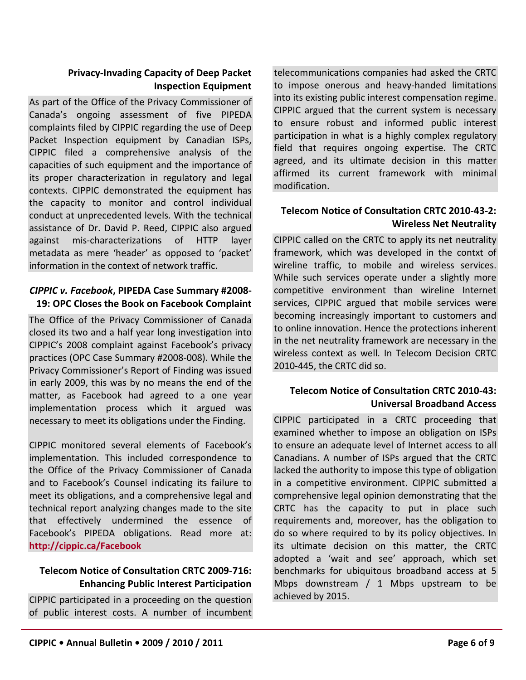### **Privacy-Invading Capacity of Deep Packet Inspection Equipment**

As part of the Office of the Privacy Commissioner of Canada's ongoing assessment of five PIPEDA complaints filed by CIPPIC regarding the use of Deep Packet Inspection equipment by Canadian ISPs, CIPPIC filed a comprehensive analysis of the capacities of such equipment and the importance of its proper characterization in regulatory and legal contexts. CIPPIC demonstrated the equipment has the capacity to monitor and control individual conduct at unprecedented levels. With the technical assistance of Dr. David P. Reed, CIPPIC also argued against mis-characterizations of HTTP layer metadata as mere 'header' as opposed to 'packet' information in the context of network traffic.

#### *CIPPIC v. Facebook***, PIPEDA Case Summary #2008- 19: OPC Closes the Book on Facebook Complaint**

The Office of the Privacy Commissioner of Canada closed its two and a half year long investigation into CIPPIC's 2008 complaint against Facebook's privacy practices (OPC Case Summary #2008-008). While the Privacy Commissioner's Report of Finding was issued in early 2009, this was by no means the end of the matter, as Facebook had agreed to a one year implementation process which it argued was necessary to meet its obligations under the Finding.

CIPPIC monitored several elements of Facebook's implementation. This included correspondence to the Office of the Privacy Commissioner of Canada and to Facebook's Counsel indicating its failure to meet its obligations, and a comprehensive legal and technical report analyzing changes made to the site that effectively undermined the essence of Facebook's PIPEDA obligations. Read more at: **<http://cippic.ca/Facebook>**

### **Telecom Notice of Consultation CRTC 2009-716: Enhancing Public Interest Participation**

CIPPIC participated in a proceeding on the question of public interest costs. A number of incumbent telecommunications companies had asked the CRTC to impose onerous and heavy-handed limitations into its existing public interest compensation regime. CIPPIC argued that the current system is necessary to ensure robust and informed public interest participation in what is a highly complex regulatory field that requires ongoing expertise. The CRTC agreed, and its ultimate decision in this matter affirmed its current framework with minimal modification.

# **Telecom Notice of Consultation CRTC 2010-43-2: Wireless Net Neutrality**

CIPPIC called on the CRTC to apply its net neutrality framework, which was developed in the contxt of wireline traffic, to mobile and wireless services. While such services operate under a slightly more competitive environment than wireline Internet services, CIPPIC argued that mobile services were becoming increasingly important to customers and to online innovation. Hence the protections inherent in the net neutrality framework are necessary in the wireless context as well. In Telecom Decision CRTC 2010-445, the CRTC did so.

# **Telecom Notice of Consultation CRTC 2010-43: Universal Broadband Access**

CIPPIC participated in a CRTC proceeding that examined whether to impose an obligation on ISPs to ensure an adequate level of Internet access to all Canadians. A number of ISPs argued that the CRTC lacked the authority to impose this type of obligation in a competitive environment. CIPPIC submitted a comprehensive legal opinion demonstrating that the CRTC has the capacity to put in place such requirements and, moreover, has the obligation to do so where required to by its policy objectives. In its ultimate decision on this matter, the CRTC adopted a 'wait and see' approach, which set benchmarks for ubiquitous broadband access at 5 Mbps downstream / 1 Mbps upstream to be achieved by 2015.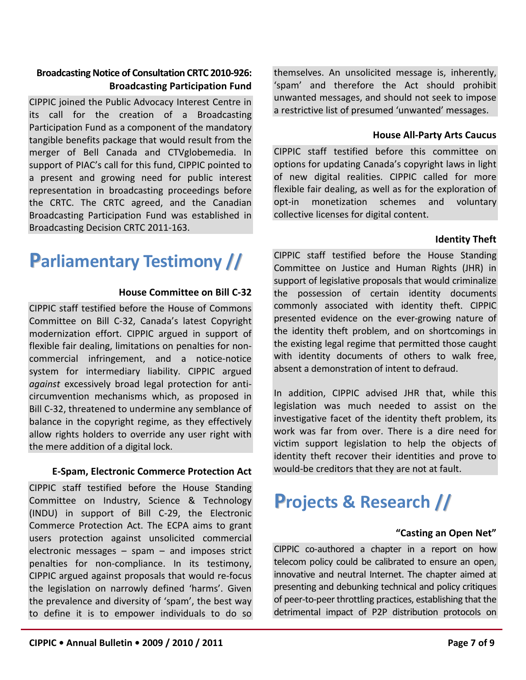the mere addition of a digital lock.

(INDU) in support of Bill C-29, the Electronic Commerce Protection Act. The ECPA aims to grant users protection against unsolicited commercial electronic messages – spam – and imposes strict penalties for non-compliance. In its testimony, CIPPIC argued against proposals that would re-focus the legislation on narrowly defined 'harms'. Given the prevalence and diversity of 'spam', the best way to define it is to empower individuals to do so

**E-Spam, Electronic Commerce Protection Act**

CIPPIC staff testified before the House Standing Committee on Industry, Science & Technology

**Broadcasting Notice of Consultation CRTC 2010-926:**

CIPPIC joined the Public Advocacy Interest Centre in its call for the creation of a Broadcasting Participation Fund as a component of the mandatory tangible benefits package that would result from the merger of Bell Canada and CTVglobemedia. In support of PIAC's call for this fund, CIPPIC pointed to a present and growing need for public interest representation in broadcasting proceedings before the CRTC. The CRTC agreed, and the Canadian Broadcasting Participation Fund was established in

Broadcasting Decision CRTC 2011-163.

<span id="page-6-1"></span>**Parliamentary Testimony //**

CIPPIC staff testified before the House of Commons Committee on Bill C-32, Canada's latest Copyright modernization effort. CIPPIC argued in support of flexible fair dealing, limitations on penalties for noncommercial infringement, and a notice-notice system for intermediary liability. CIPPIC argued *against* excessively broad legal protection for anticircumvention mechanisms which, as proposed in Bill C-32, threatened to undermine any semblance of balance in the copyright regime, as they effectively allow rights holders to override any user right with

**Broadcasting Participation Fund**

**House Committee on Bill C-32**

themselves. An unsolicited message is, inherently, 'spam' and therefore the Act should prohibit unwanted messages, and should not seek to impose a restrictive list of presumed 'unwanted' messages.

#### **House All-Party Arts Caucus**

CIPPIC staff testified before this committee on options for updating Canada's copyright laws in light of new digital realities. CIPPIC called for more flexible fair dealing, as well as for the exploration of opt-in monetization schemes and voluntary collective licenses for digital content.

#### **Identity Theft**

CIPPIC staff testified before the House Standing Committee on Justice and Human Rights (JHR) in support of legislative proposals that would criminalize the possession of certain identity documents commonly associated with identity theft. CIPPIC presented evidence on the ever-growing nature of the identity theft problem, and on shortcomings in the existing legal regime that permitted those caught with identity documents of others to walk free. absent a demonstration of intent to defraud.

In addition, CIPPIC advised JHR that, while this legislation was much needed to assist on the investigative facet of the identity theft problem, its work was far from over. There is a dire need for victim support legislation to help the objects of identity theft recover their identities and prove to would-be creditors that they are not at fault.

# <span id="page-6-0"></span>**Projects & Research //**

#### **"Casting an Open Net"**

CIPPIC co-authored a chapter in a report on how telecom policy could be calibrated to ensure an open, innovative and neutral Internet. The chapter aimed at presenting and debunking technical and policy critiques of peer-to-peer throttling practices, establishing that the detrimental impact of P2P distribution protocols on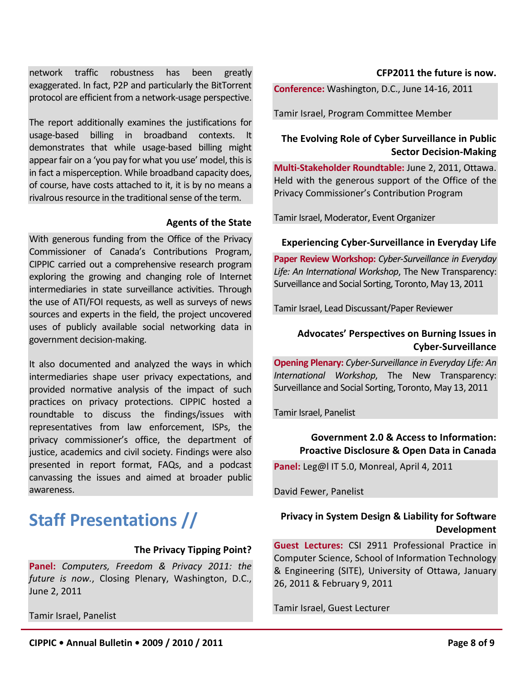network traffic robustness has been greatly exaggerated. In fact, P2P and particularly the BitTorrent protocol are efficient from a network-usage perspective.

The report additionally examines the justifications for usage-based billing in broadband contexts. It demonstrates that while usage-based billing might appear fair on a 'you pay for what you use' model, this is in fact a misperception. While broadband capacity does, of course, have costs attached to it, it is by no means a rivalrous resource in the traditional sense of the term.

#### **Agents of the State**

With generous funding from the Office of the Privacy Commissioner of Canada's Contributions Program, CIPPIC carried out a comprehensive research program exploring the growing and changing role of Internet intermediaries in state surveillance activities. Through the use of ATI/FOI requests, as well as surveys of news sources and experts in the field, the project uncovered uses of publicly available social networking data in government decision-making.

It also documented and analyzed the ways in which intermediaries shape user privacy expectations, and provided normative analysis of the impact of such practices on privacy protections. CIPPIC hosted a roundtable to discuss the findings/issues with representatives from law enforcement, ISPs, the privacy commissioner's office, the department of justice, academics and civil society. Findings were also presented in report format, FAQs, and a podcast canvassing the issues and aimed at broader public awareness.

# <span id="page-7-0"></span>**Staff Presentations //**

#### **The Privacy Tipping Point?**

**Panel:** *Computers, Freedom & Privacy 2011: the future is now.*, Closing Plenary, Washington, D.C., June 2, 2011

Tamir Israel, Panelist

#### **CFP2011 the future is now.**

**Conference:** Washington, D.C., June 14-16, 2011

Tamir Israel, Program Committee Member

### **The Evolving Role of Cyber Surveillance in Public Sector Decision-Making**

**Multi-Stakeholder Roundtable:** June 2, 2011, Ottawa. Held with the generous support of the Office of the Privacy Commissioner's Contribution Program

Tamir Israel, Moderator, Event Organizer

#### **Experiencing Cyber-Surveillance in Everyday Life**

**Paper Review Workshop:** *Cyber-Surveillance in Everyday Life: An International Workshop*, The New Transparency: Surveillance and Social Sorting, Toronto, May 13, 2011

Tamir Israel, Lead Discussant/Paper Reviewer

### **Advocates' Perspectives on Burning Issues in Cyber-Surveillance**

**Opening Plenary:** *Cyber-Surveillance in Everyday Life: An International Workshop*, The New Transparency: Surveillance and Social Sorting, Toronto, May 13, 2011

Tamir Israel, Panelist

#### **Government 2.0 & Access to Information: Proactive Disclosure & Open Data in Canada**

**Panel:** Leg@l IT 5.0, Monreal, April 4, 2011

David Fewer, Panelist

### **Privacy in System Design & Liability for Software Development**

**Guest Lectures:** CSI 2911 Professional Practice in Computer Science, School of Information Technology & Engineering (SITE), University of Ottawa, January 26, 2011 & February 9, 2011

Tamir Israel, Guest Lecturer